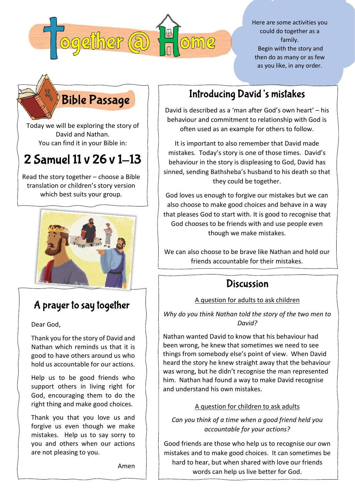

Here are some activities you could do together as a family. Begin with the story and then do as many or as few as you like, in any order.

# **Bible Passage**

Today we will be exploring the story of David and Nathan. You can find it in your Bible in:

# 2 Samuel 11 v 26 v 1-13

Read the story together – choose a Bible translation or children's story version which best suits your group.



# A prayer to say together

Dear God,

Thank you for the story of David and Nathan which reminds us that it is good to have others around us who hold us accountable for our actions.

Help us to be good friends who support others in living right for God, encouraging them to do the right thing and make good choices.

Thank you that you love us and forgive us even though we make mistakes. Help us to say sorry to you and others when our actions are not pleasing to you.

Amen

# **Introducing David's mistakes**

David is described as a 'man after God's own heart' – his behaviour and commitment to relationship with God is often used as an example for others to follow.

It is important to also remember that David made mistakes. Today's story is one of those times. David's behaviour in the story is displeasing to God, David has sinned, sending Bathsheba's husband to his death so that they could be together.

God loves us enough to forgive our mistakes but we can also choose to make good choices and behave in a way that pleases God to start with. It is good to recognise that God chooses to be friends with and use people even though we make mistakes.

We can also choose to be brave like Nathan and hold our friends accountable for their mistakes.

## **Discussion**

### A question for adults to ask children

*Why do you think Nathan told the story of the two men to David?*

Nathan wanted David to know that his behaviour had been wrong, he knew that sometimes we need to see things from somebody else's point of view. When David heard the story he knew straight away that the behaviour was wrong, but he didn't recognise the man represented him. Nathan had found a way to make David recognise and understand his own mistakes.

### A question for children to ask adults

*Can you think of a time when a good friend held you accountable for your actions?*

Good friends are those who help us to recognise our own mistakes and to make good choices. It can sometimes be hard to hear, but when shared with love our friends words can help us live better for God.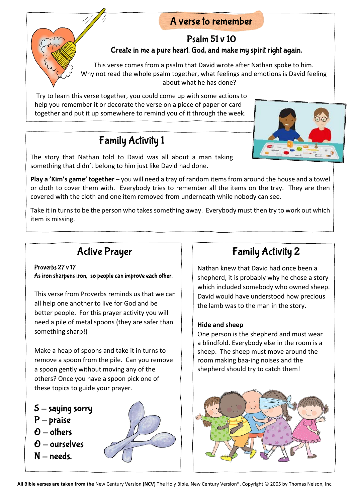## A verse to remember

## **Psalm 51 v 10** Create in me a pure heart, God, and make my spirit right again.

This verse comes from a psalm that David wrote after Nathan spoke to him. Why not read the whole psalm together, what feelings and emotions is David feeling about what he has done?

Try to learn this verse together, you could come up with some actions to help you remember it or decorate the verse on a piece of paper or card together and put it up somewhere to remind you of it through the week.

## **Family Activity 1**

The story that Nathan told to David was all about a man taking something that didn't belong to him just like David had done.

**Play a 'Kim's game' together** – you will need a tray of random items from around the house and a towel or cloth to cover them with. Everybody tries to remember all the items on the tray. They are then covered with the cloth and one item removed from underneath while nobody can see.

Take it in turns to be the person who takes something away. Everybody must then try to work out which item is missing.

## **Active Prayer**

#### Proverbs 27 v 17

As iron sharpens iron, so people can improve each other.

This verse from Proverbs reminds us that we can all help one another to live for God and be better people. For this prayer activity you will need a pile of metal spoons (they are safer than something sharp!)

Make a heap of spoons and take it in turns to remove a spoon from the pile. Can you remove a spoon gently without moving any of the others? Once you have a spoon pick one of these topics to guide your prayer.

- $S$  saying sorry
- $P$  praise
- $O$  others
- $0$  ourselves
- $N needs$



# **Family Activity 2**

Nathan knew that David had once been a shepherd, it is probably why he chose a story which included somebody who owned sheep. David would have understood how precious the lamb was to the man in the story.

#### **Hide and sheep**

One person is the shepherd and must wear a blindfold. Everybody else in the room is a sheep. The sheep must move around the room making baa-ing noises and the shepherd should try to catch them!



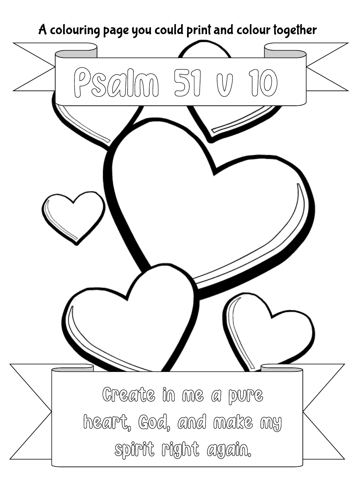